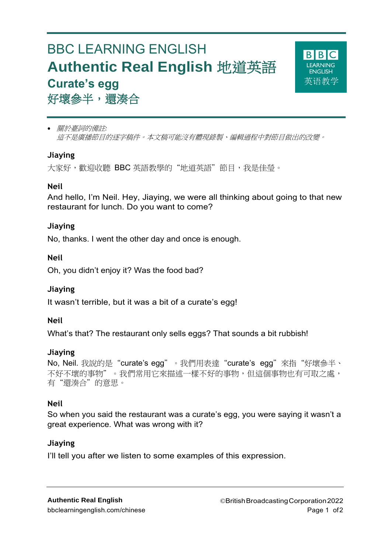# BBC LEARNING ENGLISH **Authentic Real English** 地道英語 **Curate's egg** 好壞參半,還湊合



 關於臺詞的備註*:* 這不是廣播節目的逐字稿件。本文稿可能沒有體現錄製、編輯過程中對節目做出的改變。

# **Jiaying**

大家好, 歡迎收聽 BBC 英語教學的"地道英語"節目, 我是佳瑩。

# **Neil**

And hello, I'm Neil. Hey, Jiaying, we were all thinking about going to that new restaurant for lunch. Do you want to come?

# **Jiaying**

No, thanks. I went the other day and once is enough.

## **Neil**

Oh, you didn't enjoy it? Was the food bad?

# **Jiaying**

It wasn't terrible, but it was a bit of a curate's egg!

## **Neil**

What's that? The restaurant only sells eggs? That sounds a bit rubbish!

## **Jiaying**

```
No, Neil. 我說的是"curate's egg"。我們用表達"curate's egg"來指"好壞參半、
不好不壞的事物"。我們常用它來描述一樣不好的事物,但這個事物也有可取之處,
有"還湊合"的意思。
```
## **Neil**

So when you said the restaurant was a curate's egg, you were saying it wasn't a great experience. What was wrong with it?

## **Jiaying**

I'll tell you after we listen to some examples of this expression.